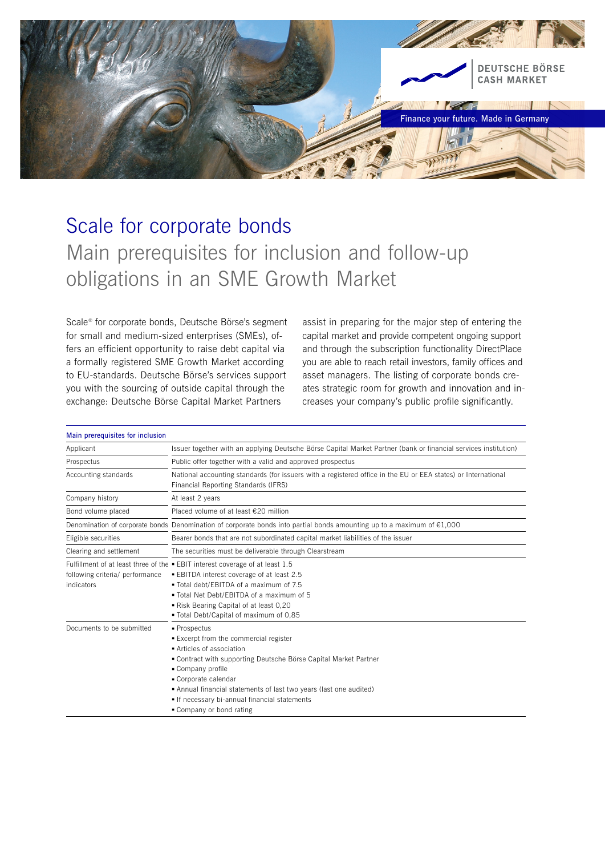

# Scale for corporate bonds Main prerequisites for inclusion and follow-up obligations in an SME Growth Market

Scale® for corporate bonds, Deutsche Börse's segment for small and medium-sized enterprises (SMEs), offers an efficient opportunity to raise debt capital via a formally registered SME Growth Market according to EU-standards. Deutsche Börse's services support you with the sourcing of outside capital through the exchange: Deutsche Börse Capital Market Partners

assist in preparing for the major step of entering the capital market and provide competent ongoing support and through the subscription functionality DirectPlace you are able to reach retail investors, family offices and asset managers. The listing of corporate bonds creates strategic room for growth and innovation and increases your company's public profile significantly.

| Main prerequisites for inclusion              |                                                                                                                                                                                                                                                                                                                                                   |
|-----------------------------------------------|---------------------------------------------------------------------------------------------------------------------------------------------------------------------------------------------------------------------------------------------------------------------------------------------------------------------------------------------------|
| Applicant                                     | Issuer together with an applying Deutsche Börse Capital Market Partner (bank or financial services institution)                                                                                                                                                                                                                                   |
| Prospectus                                    | Public offer together with a valid and approved prospectus                                                                                                                                                                                                                                                                                        |
| Accounting standards                          | National accounting standards (for issuers with a registered office in the EU or EEA states) or International<br>Financial Reporting Standards (IFRS)                                                                                                                                                                                             |
| Company history                               | At least 2 years                                                                                                                                                                                                                                                                                                                                  |
| Bond volume placed                            | Placed volume of at least €20 million                                                                                                                                                                                                                                                                                                             |
|                                               | Denomination of corporate bonds Denomination of corporate bonds into partial bonds amounting up to a maximum of $E1,000$                                                                                                                                                                                                                          |
| Eligible securities                           | Bearer bonds that are not subordinated capital market liabilities of the issuer                                                                                                                                                                                                                                                                   |
| Clearing and settlement                       | The securities must be deliverable through Clearstream                                                                                                                                                                                                                                                                                            |
| following criteria/ performance<br>indicators | Fulfillment of at least three of the . EBIT interest coverage of at least 1.5<br>■ EBITDA interest coverage of at least 2.5<br>. Total debt/EBITDA of a maximum of 7.5<br>. Total Net Debt/EBITDA of a maximum of 5<br>Risk Bearing Capital of at least 0,20<br>. Total Debt/Capital of maximum of 0,85                                           |
| Documents to be submitted                     | ■ Prospectus<br>■ Excerpt from the commercial register<br>Articles of association<br>• Contract with supporting Deutsche Börse Capital Market Partner<br>• Company profile<br>Corporate calendar<br>• Annual financial statements of last two years (last one audited)<br>If necessary bi-annual financial statements<br>• Company or bond rating |